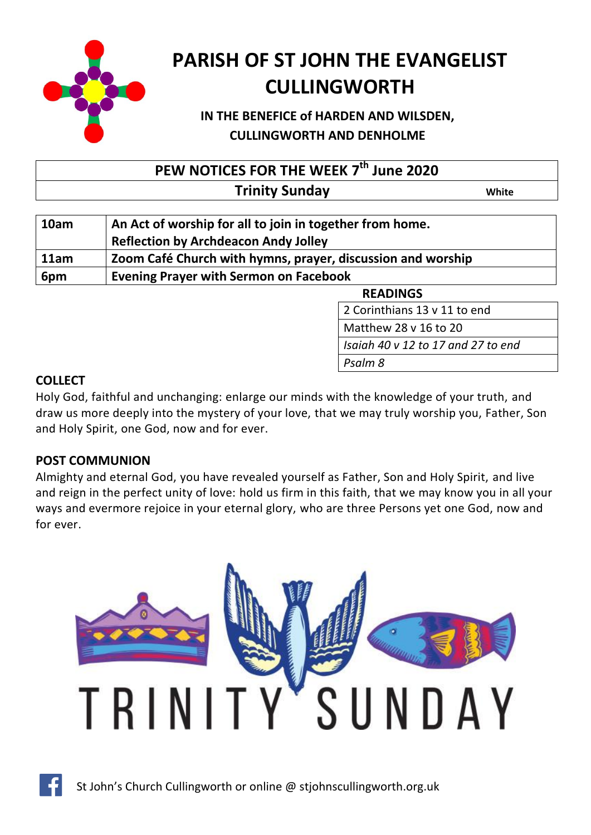

# **PARISH OF ST JOHN THE EVANGELIST CULLINGWORTH**

# **IN THE BENEFICE of HARDEN AND WILSDEN, CULLINGWORTH AND DENHOLME**

**PEW NOTICES FOR THE WEEK 7 th June 2020**

| <b>Trinity Sunday</b> | White |
|-----------------------|-------|
|-----------------------|-------|

| 10am | An Act of worship for all to join in together from home.<br><b>Reflection by Archdeacon Andy Jolley</b> |  |
|------|---------------------------------------------------------------------------------------------------------|--|
| 11am | Zoom Café Church with hymns, prayer, discussion and worship                                             |  |
| 6pm  | <b>Evening Prayer with Sermon on Facebook</b>                                                           |  |

**READINGS** 

2 Corinthians 13 v 11 to end

Matthew 28 v 16 to 20 411 Lord Jesus Christ, you have come to us *Isaiah 40 v 12 to 17 and 27 to end* Bless the Lord my soul *Psalm 8*

## **COLLECT**

Holy God, faithful and unchanging: enlarge our minds with the knowledge of your truth, and draw us more deeply into the mystery of your love, that we may truly worship you, Father, Son and Holy Spirit, one God, now and for ever.

## **POST COMMUNION**

Almighty and eternal God, you have revealed yourself as Father, Son and Holy Spirit, and live and reign in the perfect unity of love: hold us firm in this faith, that we may know you in all your ways and evermore rejoice in your eternal glory, who are three Persons yet one God, now and for ever.

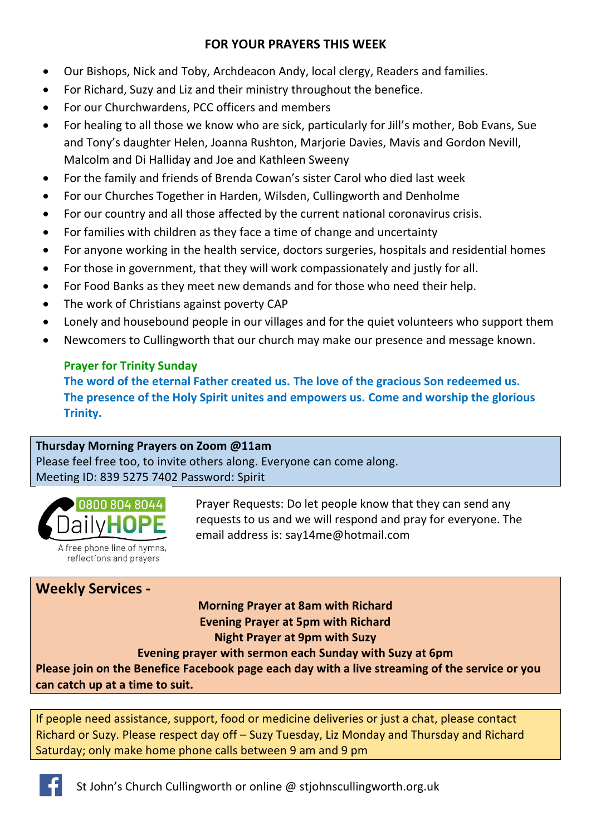## **FOR YOUR PRAYERS THIS WEEK**

- Our Bishops, Nick and Toby, Archdeacon Andy, local clergy, Readers and families.
- For Richard, Suzy and Liz and their ministry throughout the benefice.
- For our Churchwardens, PCC officers and members
- For healing to all those we know who are sick, particularly for Jill's mother, Bob Evans, Sue and Tony's daughter Helen, Joanna Rushton, Marjorie Davies, Mavis and Gordon Nevill, Malcolm and Di Halliday and Joe and Kathleen Sweeny
- For the family and friends of Brenda Cowan's sister Carol who died last week
- For our Churches Together in Harden, Wilsden, Cullingworth and Denholme
- For our country and all those affected by the current national coronavirus crisis.
- For families with children as they face a time of change and uncertainty
- For anyone working in the health service, doctors surgeries, hospitals and residential homes
- For those in government, that they will work compassionately and justly for all.
- For Food Banks as they meet new demands and for those who need their help.
- The work of Christians against poverty CAP
- Lonely and housebound people in our villages and for the quiet volunteers who support them
- Newcomers to Cullingworth that our church may make our presence and message known.

## **Prayer for Trinity Sunday**

**The word of the eternal Father created us. The love of the gracious Son redeemed us. The presence of the Holy Spirit unites and empowers us. Come and worship the glorious Trinity.**

## **Thursday Morning Prayers on Zoom @11am**

Please feel free too, to invite others along. Everyone can come along. Meeting ID: 839 5275 7402 Password: Spirit



Prayer Requests: Do let people know that they can send any requests to us and we will respond and pray for everyone. The email address is: [say14me@hotmail.com](mailto:say14me@hotmail.com)

## **Weekly Services -**

# **Morning Prayer at 8am with Richard Evening Prayer at 5pm with Richard Night Prayer at 9pm with Suzy**

**Evening prayer with sermon each Sunday with Suzy at 6pm** 

**Please join on the Benefice Facebook page each day with a live streaming of the service or you can catch up at a time to suit.**

If people need assistance, support, food or medicine deliveries or just a chat, please contact Richard or Suzy. Please respect day off – Suzy Tuesday, Liz Monday and Thursday and Richard Saturday; only make home phone calls between 9 am and 9 pm

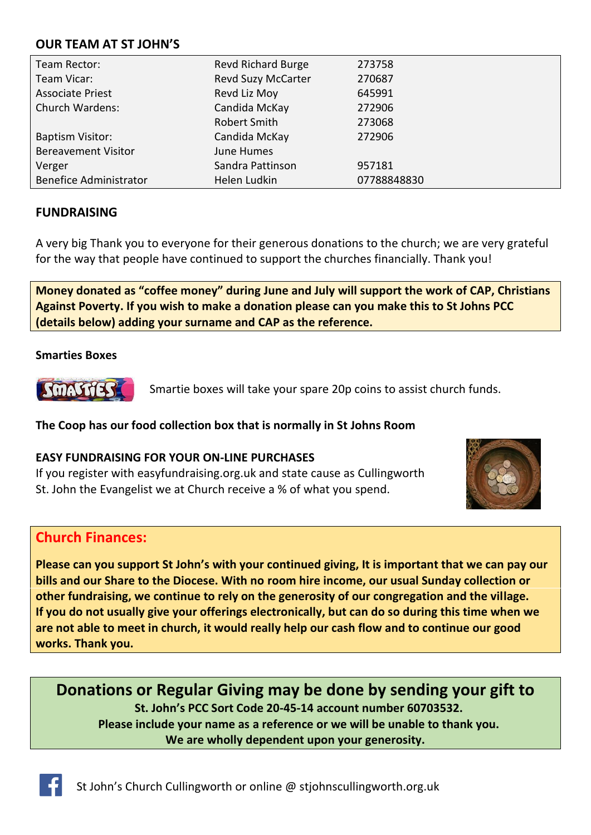#### **OUR TEAM AT ST JOHN'S**

| Team Rector:                  | <b>Revd Richard Burge</b> | 273758      |
|-------------------------------|---------------------------|-------------|
| Team Vicar:                   | <b>Revd Suzy McCarter</b> | 270687      |
| <b>Associate Priest</b>       | Revd Liz Moy              | 645991      |
| <b>Church Wardens:</b>        | Candida McKay             | 272906      |
|                               | Robert Smith              | 273068      |
| <b>Baptism Visitor:</b>       | Candida McKay             | 272906      |
| <b>Bereavement Visitor</b>    | June Humes                |             |
| Verger                        | Sandra Pattinson          | 957181      |
| <b>Benefice Administrator</b> | Helen Ludkin              | 07788848830 |

#### **FUNDRAISING**

A very big Thank you to everyone for their generous donations to the church; we are very grateful for the way that people have continued to support the churches financially. Thank you!

**Money donated as "coffee money" during June and July will support the work of CAP, Christians Against Poverty. If you wish to make a donation please can you make this to St Johns PCC (details below) adding your surname and CAP as the reference.**

#### **Smarties Boxes**

**SmASCHES** 

Smartie boxes will take your spare 20p coins to assist church funds.

#### **The Coop has our food collection box that is normally in St Johns Room**

#### **EASY FUNDRAISING FOR YOUR ON-LINE PURCHASES**

If you register with easyfundraising.org.uk and state cause as Cullingworth St. John the Evangelist we at Church receive a % of what you spend.



## **Church Finances:**

**Please can you support St John's with your continued giving, It is important that we can pay our bills and our Share to the Diocese. With no room hire income, our usual Sunday collection or other fundraising, we continue to rely on the generosity of our congregation and the village. If you do not usually give your offerings electronically, but can do so during this time when we are not able to meet in church, it would really help our cash flow and to continue our good works. Thank you.**

**Donations or Regular Giving may be done by sending your gift to St. John's PCC Sort Code 20-45-14 account number 60703532. Please include your name as a reference or we will be unable to thank you. We are wholly dependent upon your generosity.**

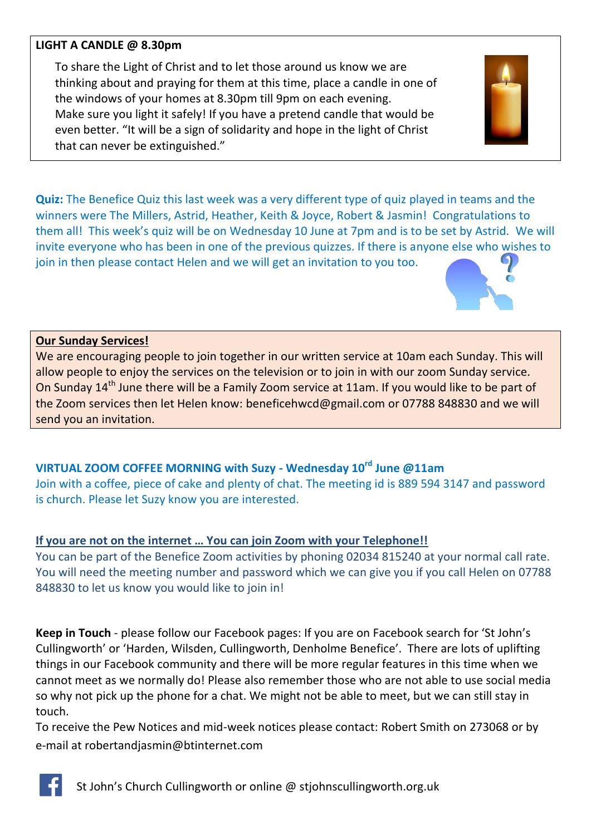#### **LIGHT A CANDLE @ 8.30pm**

To share the Light of Christ and to let those around us know we are thinking about and praying for them at this time, place a candle in one of the windows of your homes at 8.30pm till 9pm on each evening. Make sure you light it safely! If you have a pretend candle that would be even better. "It will be a sign of solidarity and hope in the light of Christ that can never be extinguished."



**Quiz:** The Benefice Quiz this last week was a very different type of quiz played in teams and the winners were The Millers, Astrid, Heather, Keith & Joyce, Robert & Jasmin! Congratulations to them all! This week's quiz will be on Wednesday 10 June at 7pm and is to be set by Astrid. We will invite everyone who has been in one of the previous quizzes. If there is anyone else who wishes to join in then please contact Helen and we will get an invitation to you too.



We are encouraging people to join together in our written service at 10am each Sunday. This will allow people to enjoy the services on the television or to join in with our zoom Sunday service. On Sunday 14<sup>th</sup> June there will be a Family Zoom service at 11am. If you would like to be part of the Zoom services then let Helen know: [beneficehwcd@gmail.com](mailto:beneficehwcd@gmail.com) or 07788 848830 and we will send you an invitation.

## **VIRTUAL ZOOM COFFEE MORNING with Suzy - Wednesday 10rd June @11am**

Join with a coffee, piece of cake and plenty of chat. The meeting id is 889 594 3147 and password is church. Please let Suzy know you are interested.

#### **If you are not on the internet … You can join Zoom with your Telephone!!**

You can be part of the Benefice Zoom activities by phoning 02034 815240 at your normal call rate. You will need the meeting number and password which we can give you if you call Helen on 07788 848830 to let us know you would like to join in!

**Keep in Touch** - please follow our Facebook pages: If you are on Facebook search for 'St John's Cullingworth' or 'Harden, Wilsden, Cullingworth, Denholme Benefice'. There are lots of uplifting things in our Facebook community and there will be more regular features in this time when we cannot meet as we normally do! Please also remember those who are not able to use social media so why not pick up the phone for a chat. We might not be able to meet, but we can still stay in touch.

To receive the Pew Notices and mid-week notices please contact: Robert Smith on 273068 or by e-mail at [robertandjasmin@btinternet.com](mailto:robertandjasmin@btinternet.com)